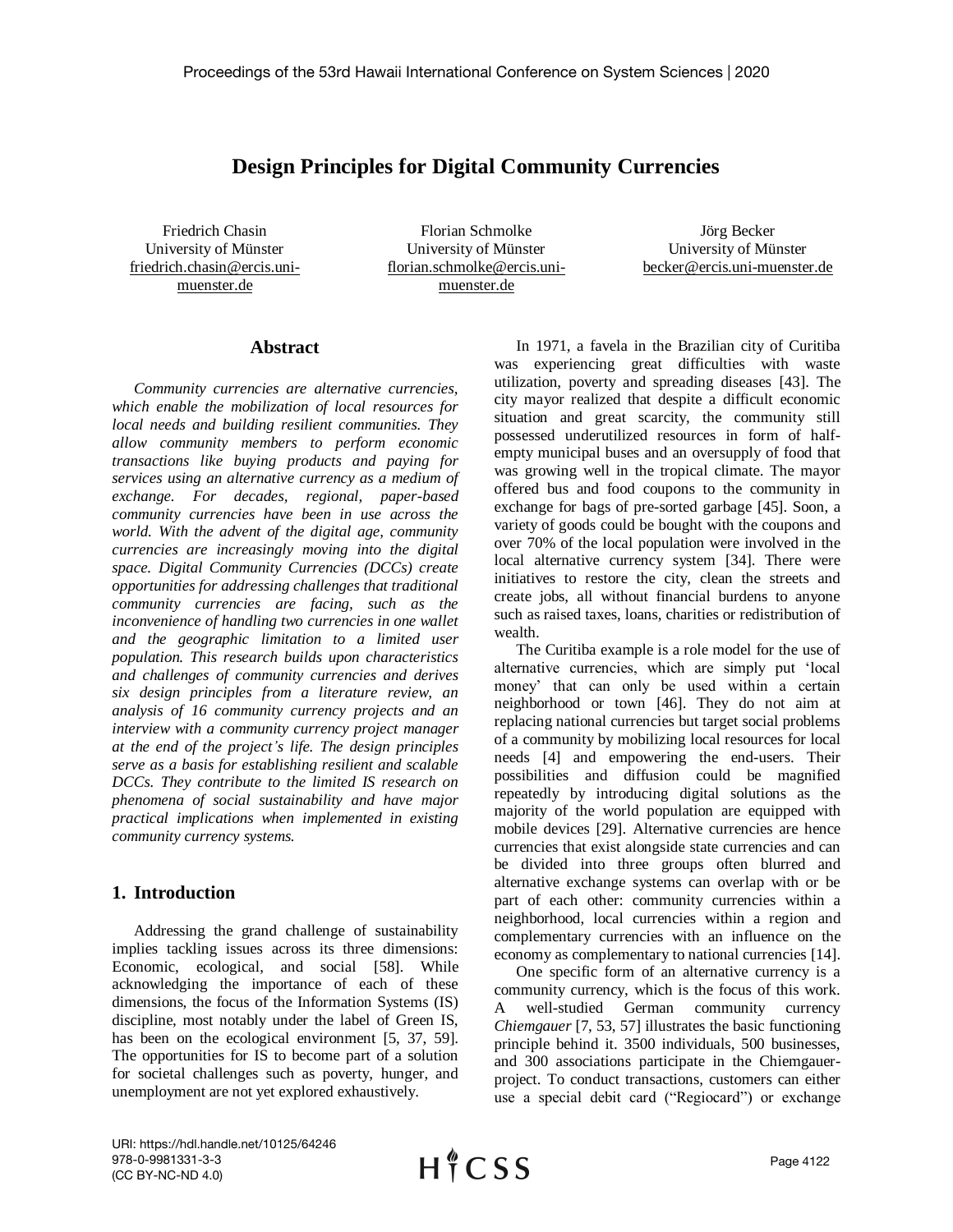# **Design Principles for Digital Community Currencies**

Friedrich Chasin University of Münster friedrich.chasin@ercis.unimuenster.de

Florian Schmolke University of Münster florian.schmolke@ercis.unimuenster.de

Jörg Becker University of Münster becker@ercis.uni-muenster.de

### **Abstract**

*Community currencies are alternative currencies, which enable the mobilization of local resources for local needs and building resilient communities. They allow community members to perform economic transactions like buying products and paying for services using an alternative currency as a medium of exchange. For decades, regional, paper-based community currencies have been in use across the world. With the advent of the digital age, community currencies are increasingly moving into the digital space. Digital Community Currencies (DCCs) create opportunities for addressing challenges that traditional community currencies are facing, such as the inconvenience of handling two currencies in one wallet and the geographic limitation to a limited user population. This research builds upon characteristics and challenges of community currencies and derives six design principles from a literature review, an analysis of 16 community currency projects and an interview with a community currency project manager at the end of the project's life. The design principles serve as a basis for establishing resilient and scalable DCCs. They contribute to the limited IS research on phenomena of social sustainability and have major practical implications when implemented in existing community currency systems.* 

### **1. Introduction**

Addressing the grand challenge of sustainability implies tackling issues across its three dimensions: Economic, ecological, and social [58]. While acknowledging the importance of each of these dimensions, the focus of the Information Systems (IS) discipline, most notably under the label of Green IS, has been on the ecological environment [5, 37, 59]. The opportunities for IS to become part of a solution for societal challenges such as poverty, hunger, and unemployment are not yet explored exhaustively.

In 1971, a favela in the Brazilian city of Curitiba was experiencing great difficulties with waste utilization, poverty and spreading diseases [43]. The city mayor realized that despite a difficult economic situation and great scarcity, the community still possessed underutilized resources in form of halfempty municipal buses and an oversupply of food that was growing well in the tropical climate. The mayor offered bus and food coupons to the community in exchange for bags of pre-sorted garbage [45]. Soon, a variety of goods could be bought with the coupons and over 70% of the local population were involved in the local alternative currency system [34]. There were initiatives to restore the city, clean the streets and create jobs, all without financial burdens to anyone such as raised taxes, loans, charities or redistribution of wealth.

The Curitiba example is a role model for the use of alternative currencies, which are simply put 'local money' that can only be used within a certain neighborhood or town [46]. They do not aim at replacing national currencies but target social problems of a community by mobilizing local resources for local needs [4] and empowering the end-users. Their possibilities and diffusion could be magnified repeatedly by introducing digital solutions as the majority of the world population are equipped with mobile devices [29]. Alternative currencies are hence currencies that exist alongside state currencies and can be divided into three groups often blurred and alternative exchange systems can overlap with or be part of each other: community currencies within a neighborhood, local currencies within a region and complementary currencies with an influence on the economy as complementary to national currencies [14].

One specific form of an alternative currency is a community currency, which is the focus of this work. A well-studied German community currency *Chiemgauer* [7, 53, 57] illustrates the basic functioning principle behind it. 3500 individuals, 500 businesses, and 300 associations participate in the Chiemgauerproject. To conduct transactions, customers can either use a special debit card ("Regiocard") or exchange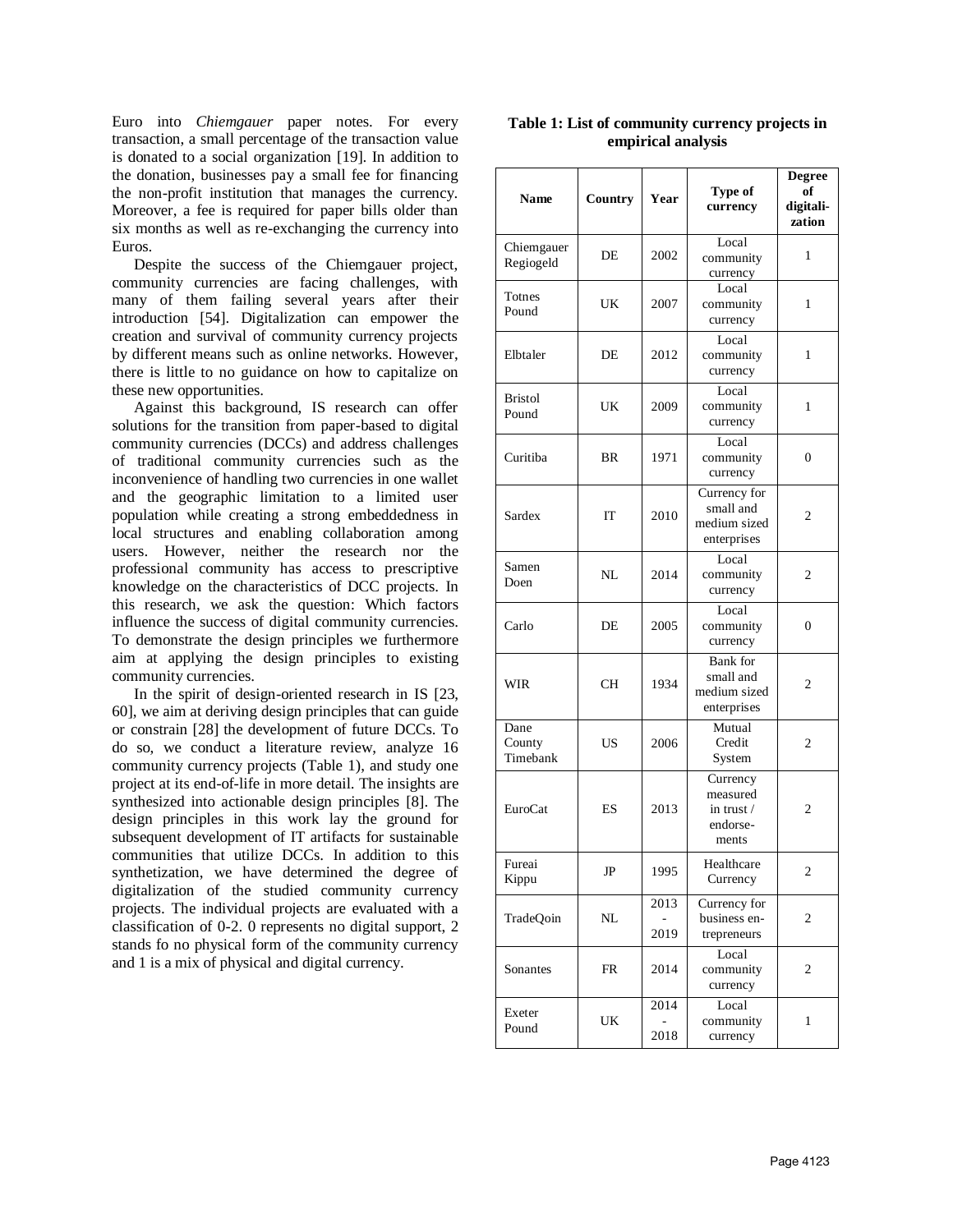Euro into *Chiemgauer* paper notes. For every transaction, a small percentage of the transaction value is donated to a social organization [19]. In addition to the donation, businesses pay a small fee for financing the non-profit institution that manages the currency. Moreover, a fee is required for paper bills older than six months as well as re-exchanging the currency into Euros.

Despite the success of the Chiemgauer project, community currencies are facing challenges, with many of them failing several years after their introduction [54]. Digitalization can empower the creation and survival of community currency projects by different means such as online networks. However, there is little to no guidance on how to capitalize on these new opportunities.

Against this background, IS research can offer solutions for the transition from paper-based to digital community currencies (DCCs) and address challenges of traditional community currencies such as the inconvenience of handling two currencies in one wallet and the geographic limitation to a limited user population while creating a strong embeddedness in local structures and enabling collaboration among users. However, neither the research nor the professional community has access to prescriptive knowledge on the characteristics of DCC projects. In this research, we ask the question: Which factors influence the success of digital community currencies. To demonstrate the design principles we furthermore aim at applying the design principles to existing community currencies.

In the spirit of design-oriented research in IS [23, 60], we aim at deriving design principles that can guide or constrain [28] the development of future DCCs. To do so, we conduct a literature review, analyze 16 community currency projects [\(Table 1\)](#page-1-0), and study one project at its end-of-life in more detail. The insights are synthesized into actionable design principles [8]. The design principles in this work lay the ground for subsequent development of IT artifacts for sustainable communities that utilize DCCs. In addition to this synthetization, we have determined the degree of digitalization of the studied community currency projects. The individual projects are evaluated with a classification of 0-2. 0 represents no digital support, 2 stands fo no physical form of the community currency and 1 is a mix of physical and digital currency.

|  | <b>Name</b>                | Country | Year         | Type of<br>currency                                              | <b>Degree</b><br>of<br>digitali-<br>zation |
|--|----------------------------|---------|--------------|------------------------------------------------------------------|--------------------------------------------|
|  | Chiemgauer<br>Regiogeld    | DE      | 2002         | Local<br>community<br>currency                                   | 1                                          |
|  | Totnes<br>Pound            | UK      | 2007         | Local<br>community<br>currency                                   | 1                                          |
|  | Elbtaler                   | DE      | 2012         | Local<br>community<br>currency                                   | 1                                          |
|  | <b>Bristol</b><br>Pound    | UK      | 2009         | Local<br>community<br>currency                                   | 1                                          |
|  | Curitiba                   | BR      | 1971         | Local<br>community<br>currency                                   | $\overline{0}$                             |
|  | Sardex                     | IT      | 2010         | Currency for<br>small and<br>medium sized<br>enterprises         | 2                                          |
|  | Samen<br>Doen              | NL      | 2014         | Local<br>community<br>currency                                   | 2                                          |
|  | Carlo                      | DE      | 2005         | Local<br>community<br>currency                                   | $\overline{0}$                             |
|  | WIR                        | CН      | 1934         | <b>Bank</b> for<br>small and<br>medium sized<br>enterprises      | 2                                          |
|  | Dane<br>County<br>Timebank | US      | 2006         | Mutual<br>Credit<br>System                                       | 2                                          |
|  | <b>EuroCat</b>             | ES      | 2013         | Currency<br>measured<br>in trust $\sqrt{ }$<br>endorse-<br>ments | 2                                          |
|  | Fureai<br>Kippu            | JP      | 1995         | Healthcare<br>Currency                                           | 2                                          |
|  | TradeQoin                  | NL      | 2013<br>2019 | Currency for<br>business en-<br>trepreneurs                      | 2                                          |
|  | Sonantes                   | FR      | 2014         | Local<br>community<br>currency                                   | 2                                          |
|  | Exeter<br>Pound            | UK      | 2014<br>2018 | Local<br>community<br>currency                                   | 1                                          |

#### <span id="page-1-0"></span>**Table 1: List of community currency projects in empirical analysis**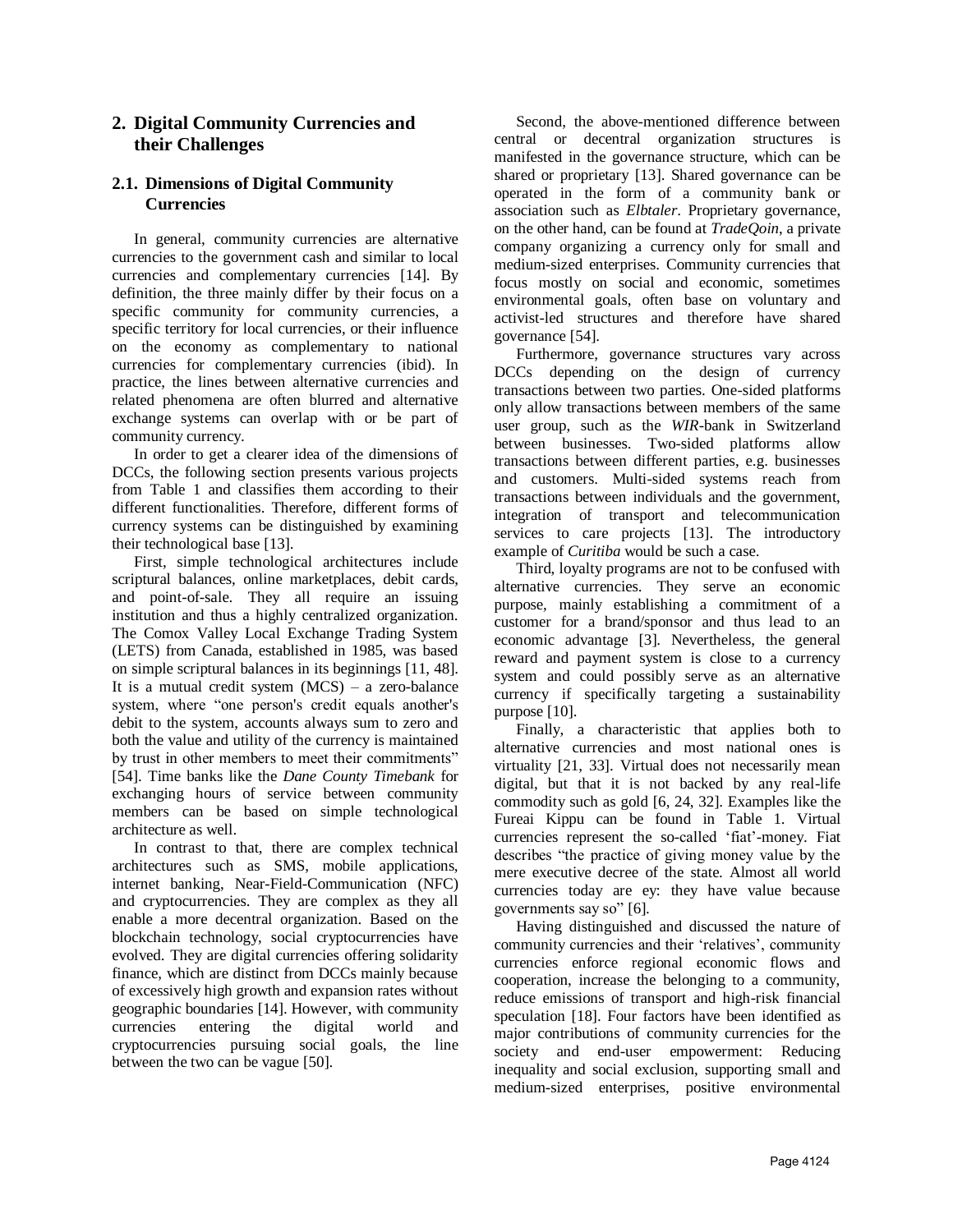# **2. Digital Community Currencies and their Challenges**

# **2.1. Dimensions of Digital Community Currencies**

In general, community currencies are alternative currencies to the government cash and similar to local currencies and complementary currencies [14]. By definition, the three mainly differ by their focus on a specific community for community currencies, a specific territory for local currencies, or their influence on the economy as complementary to national currencies for complementary currencies (ibid). In practice, the lines between alternative currencies and related phenomena are often blurred and alternative exchange systems can overlap with or be part of community currency.

In order to get a clearer idea of the dimensions of DCCs, the following section presents various projects from Table 1 and classifies them according to their different functionalities. Therefore, different forms of currency systems can be distinguished by examining their technological base [13].

First, simple technological architectures include scriptural balances, online marketplaces, debit cards, and point-of-sale. They all require an issuing institution and thus a highly centralized organization. The Comox Valley Local Exchange Trading System (LETS) from Canada, established in 1985, was based on simple scriptural balances in its beginnings [11, 48]. It is a mutual credit system (MCS) – a zero-balance system, where "one person's credit equals another's debit to the system, accounts always sum to zero and both the value and utility of the currency is maintained by trust in other members to meet their commitments" [54]. Time banks like the *Dane County Timebank* for exchanging hours of service between community members can be based on simple technological architecture as well.

In contrast to that, there are complex technical architectures such as SMS, mobile applications, internet banking, Near-Field-Communication (NFC) and cryptocurrencies. They are complex as they all enable a more decentral organization. Based on the blockchain technology, social cryptocurrencies have evolved. They are digital currencies offering solidarity finance, which are distinct from DCCs mainly because of excessively high growth and expansion rates without geographic boundaries [14]. However, with community currencies entering the digital world and cryptocurrencies pursuing social goals, the line between the two can be vague [50].

Second, the above-mentioned difference between central or decentral organization structures is manifested in the governance structure, which can be shared or proprietary [13]. Shared governance can be operated in the form of a community bank or association such as *Elbtaler*. Proprietary governance, on the other hand, can be found at *TradeQoin*, a private company organizing a currency only for small and medium-sized enterprises. Community currencies that focus mostly on social and economic, sometimes environmental goals, often base on voluntary and activist-led structures and therefore have shared governance [54].

Furthermore, governance structures vary across DCCs depending on the design of currency transactions between two parties. One-sided platforms only allow transactions between members of the same user group, such as the *WIR*-bank in Switzerland between businesses. Two-sided platforms allow transactions between different parties, e.g. businesses and customers. Multi-sided systems reach from transactions between individuals and the government, integration of transport and telecommunication services to care projects [13]. The introductory example of *Curitiba* would be such a case.

Third, loyalty programs are not to be confused with alternative currencies. They serve an economic purpose, mainly establishing a commitment of a customer for a brand/sponsor and thus lead to an economic advantage [3]. Nevertheless, the general reward and payment system is close to a currency system and could possibly serve as an alternative currency if specifically targeting a sustainability purpose [10].

Finally, a characteristic that applies both to alternative currencies and most national ones is virtuality [21, 33]. Virtual does not necessarily mean digital, but that it is not backed by any real-life commodity such as gold [6, 24, 32]. Examples like the Fureai Kippu can be found in [Table 1.](#page-1-0) Virtual currencies represent the so-called 'fiat'-money. Fiat describes "the practice of giving money value by the mere executive decree of the state. Almost all world currencies today are ey: they have value because governments say so" [6].

Having distinguished and discussed the nature of community currencies and their 'relatives', community currencies enforce regional economic flows and cooperation, increase the belonging to a community, reduce emissions of transport and high-risk financial speculation [18]. Four factors have been identified as major contributions of community currencies for the society and end-user empowerment: Reducing inequality and social exclusion, supporting small and medium-sized enterprises, positive environmental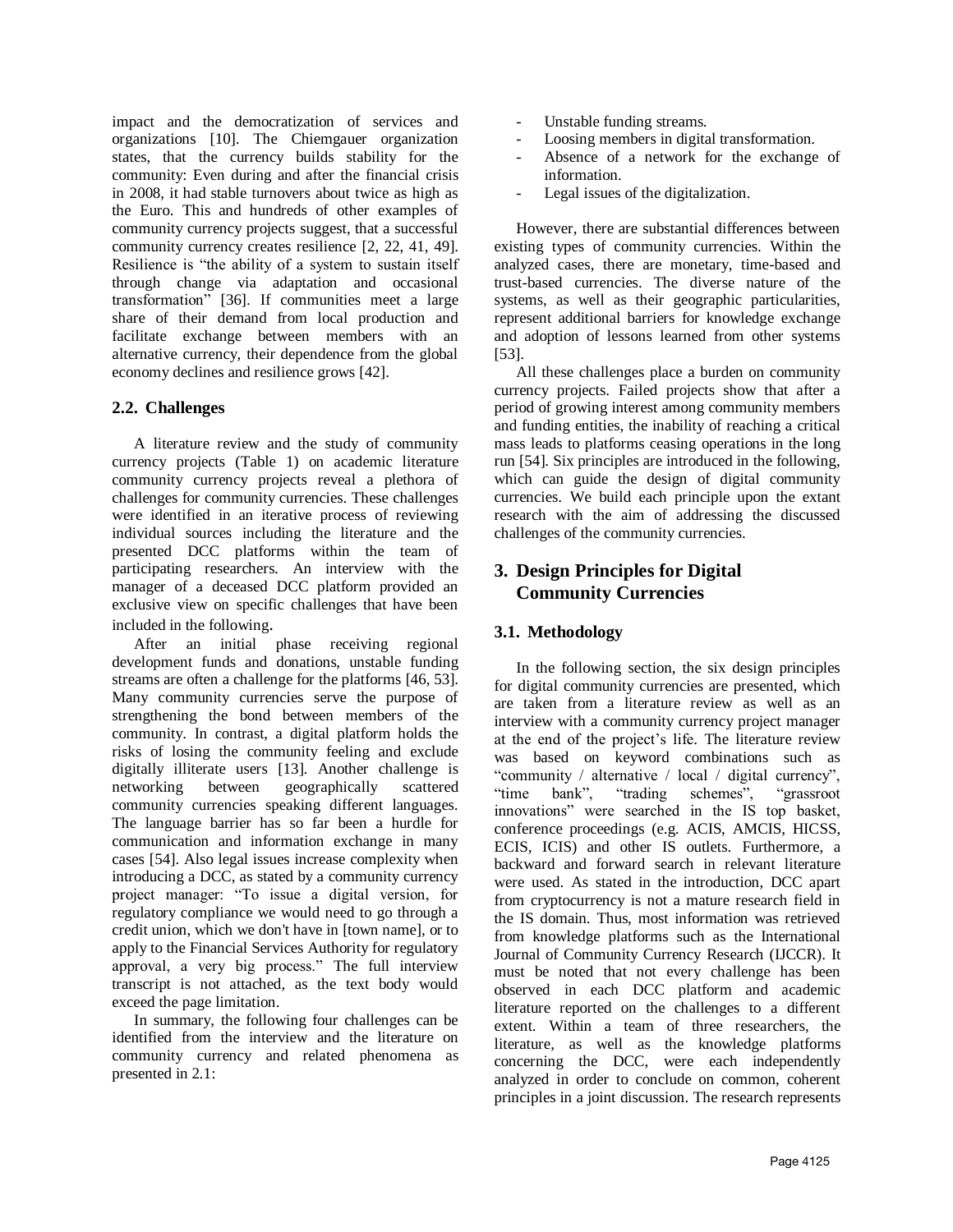impact and the democratization of services and organizations [10]. The Chiemgauer organization states, that the currency builds stability for the community: Even during and after the financial crisis in 2008, it had stable turnovers about twice as high as the Euro. This and hundreds of other examples of community currency projects suggest, that a successful community currency creates resilience [2, 22, 41, 49]. Resilience is "the ability of a system to sustain itself through change via adaptation and occasional transformation" [36]. If communities meet a large share of their demand from local production and facilitate exchange between members with an alternative currency, their dependence from the global economy declines and resilience grows [42].

### **2.2. Challenges**

A literature review and the study of community currency projects (Table 1) on academic literature community currency projects reveal a plethora of challenges for community currencies. These challenges were identified in an iterative process of reviewing individual sources including the literature and the presented DCC platforms within the team of participating researchers. An interview with the manager of a deceased DCC platform provided an exclusive view on specific challenges that have been included in the following.

After an initial phase receiving regional development funds and donations, unstable funding streams are often a challenge for the platforms [46, 53]. Many community currencies serve the purpose of strengthening the bond between members of the community. In contrast, a digital platform holds the risks of losing the community feeling and exclude digitally illiterate users [13]. Another challenge is networking between geographically scattered community currencies speaking different languages. The language barrier has so far been a hurdle for communication and information exchange in many cases [54]. Also legal issues increase complexity when introducing a DCC, as stated by a community currency project manager: "To issue a digital version, for regulatory compliance we would need to go through a credit union, which we don't have in [town name], or to apply to the Financial Services Authority for regulatory approval, a very big process." The full interview transcript is not attached, as the text body would exceed the page limitation.

In summary, the following four challenges can be identified from the interview and the literature on community currency and related phenomena as presented in 2.1:

- Unstable funding streams.
- Loosing members in digital transformation.
- Absence of a network for the exchange of information.
- Legal issues of the digitalization.

However, there are substantial differences between existing types of community currencies. Within the analyzed cases, there are monetary, time-based and trust-based currencies. The diverse nature of the systems, as well as their geographic particularities, represent additional barriers for knowledge exchange and adoption of lessons learned from other systems [53].

All these challenges place a burden on community currency projects. Failed projects show that after a period of growing interest among community members and funding entities, the inability of reaching a critical mass leads to platforms ceasing operations in the long run [54]. Six principles are introduced in the following, which can guide the design of digital community currencies. We build each principle upon the extant research with the aim of addressing the discussed challenges of the community currencies.

# **3. Design Principles for Digital Community Currencies**

# **3.1. Methodology**

In the following section, the six design principles for digital community currencies are presented, which are taken from a literature review as well as an interview with a community currency project manager at the end of the project's life. The literature review was based on keyword combinations such as "community / alternative / local / digital currency", "time bank", "trading schemes", "grassroot innovations" were searched in the IS top basket, conference proceedings (e.g. ACIS, AMCIS, HICSS, ECIS, ICIS) and other IS outlets. Furthermore, a backward and forward search in relevant literature were used. As stated in the introduction, DCC apart from cryptocurrency is not a mature research field in the IS domain. Thus, most information was retrieved from knowledge platforms such as the International Journal of Community Currency Research (IJCCR). It must be noted that not every challenge has been observed in each DCC platform and academic literature reported on the challenges to a different extent. Within a team of three researchers, the literature, as well as the knowledge platforms concerning the DCC, were each independently analyzed in order to conclude on common, coherent principles in a joint discussion. The research represents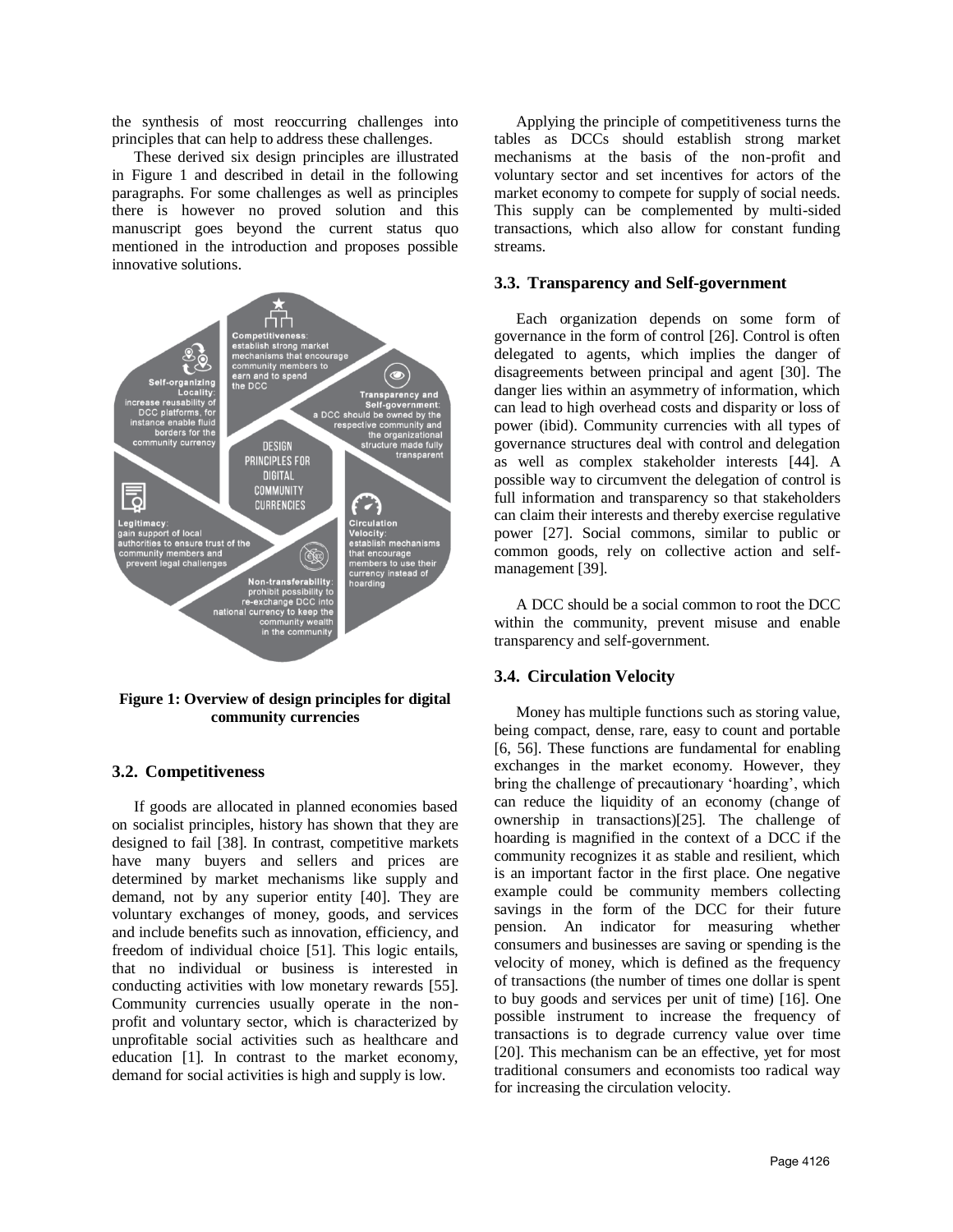the synthesis of most reoccurring challenges into principles that can help to address these challenges.

These derived six design principles are illustrated in Figure 1 and described in detail in the following paragraphs. For some challenges as well as principles there is however no proved solution and this manuscript goes beyond the current status quo mentioned in the introduction and proposes possible innovative solutions.



**Figure 1: Overview of design principles for digital community currencies**

#### **3.2. Competitiveness**

If goods are allocated in planned economies based on socialist principles, history has shown that they are designed to fail [38]. In contrast, competitive markets have many buyers and sellers and prices are determined by market mechanisms like supply and demand, not by any superior entity [40]. They are voluntary exchanges of money, goods, and services and include benefits such as innovation, efficiency, and freedom of individual choice [51]. This logic entails, that no individual or business is interested in conducting activities with low monetary rewards [55]. Community currencies usually operate in the nonprofit and voluntary sector, which is characterized by unprofitable social activities such as healthcare and education [1]. In contrast to the market economy, demand for social activities is high and supply is low.

Applying the principle of competitiveness turns the tables as DCCs should establish strong market mechanisms at the basis of the non-profit and voluntary sector and set incentives for actors of the market economy to compete for supply of social needs. This supply can be complemented by multi-sided transactions, which also allow for constant funding streams.

### **3.3. Transparency and Self-government**

Each organization depends on some form of governance in the form of control [26]. Control is often delegated to agents, which implies the danger of disagreements between principal and agent [30]. The danger lies within an asymmetry of information, which can lead to high overhead costs and disparity or loss of power (ibid). Community currencies with all types of governance structures deal with control and delegation as well as complex stakeholder interests [44]. A possible way to circumvent the delegation of control is full information and transparency so that stakeholders can claim their interests and thereby exercise regulative power [27]. Social commons, similar to public or common goods, rely on collective action and selfmanagement [39].

A DCC should be a social common to root the DCC within the community, prevent misuse and enable transparency and self-government.

#### **3.4. Circulation Velocity**

Money has multiple functions such as storing value, being compact, dense, rare, easy to count and portable [6, 56]. These functions are fundamental for enabling exchanges in the market economy. However, they bring the challenge of precautionary 'hoarding', which can reduce the liquidity of an economy (change of ownership in transactions)[25]. The challenge of hoarding is magnified in the context of a DCC if the community recognizes it as stable and resilient, which is an important factor in the first place. One negative example could be community members collecting savings in the form of the DCC for their future pension. An indicator for measuring whether consumers and businesses are saving or spending is the velocity of money, which is defined as the frequency of transactions (the number of times one dollar is spent to buy goods and services per unit of time) [16]. One possible instrument to increase the frequency of transactions is to degrade currency value over time [20]. This mechanism can be an effective, yet for most traditional consumers and economists too radical way for increasing the circulation velocity.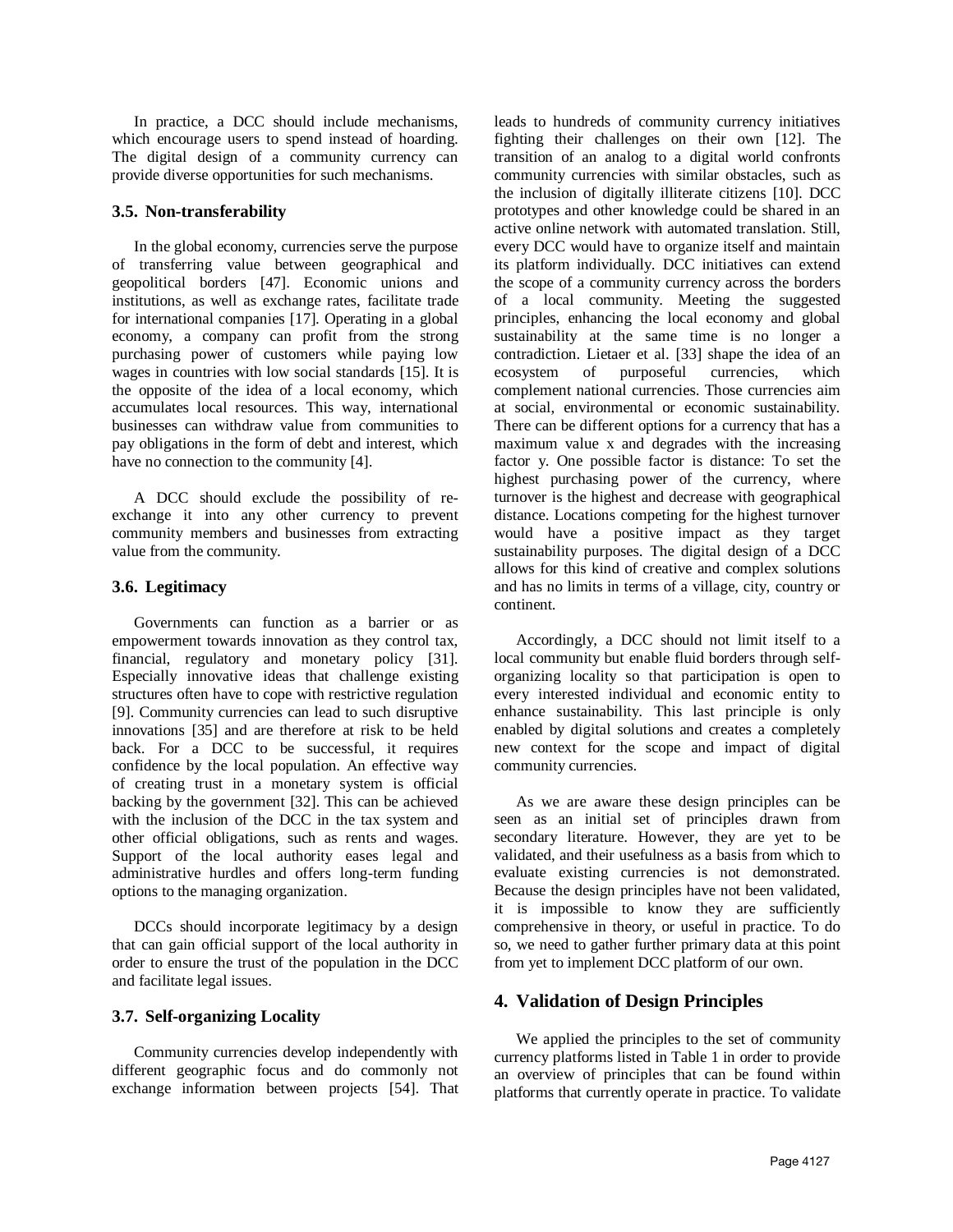In practice, a DCC should include mechanisms, which encourage users to spend instead of hoarding. The digital design of a community currency can provide diverse opportunities for such mechanisms.

#### **3.5. Non-transferability**

In the global economy, currencies serve the purpose of transferring value between geographical and geopolitical borders [47]. Economic unions and institutions, as well as exchange rates, facilitate trade for international companies [17]. Operating in a global economy, a company can profit from the strong purchasing power of customers while paying low wages in countries with low social standards [15]. It is the opposite of the idea of a local economy, which accumulates local resources. This way, international businesses can withdraw value from communities to pay obligations in the form of debt and interest, which have no connection to the community [4].

A DCC should exclude the possibility of reexchange it into any other currency to prevent community members and businesses from extracting value from the community.

#### **3.6. Legitimacy**

Governments can function as a barrier or as empowerment towards innovation as they control tax, financial, regulatory and monetary policy [31]. Especially innovative ideas that challenge existing structures often have to cope with restrictive regulation [9]. Community currencies can lead to such disruptive innovations [35] and are therefore at risk to be held back. For a DCC to be successful, it requires confidence by the local population. An effective way of creating trust in a monetary system is official backing by the government [32]. This can be achieved with the inclusion of the DCC in the tax system and other official obligations, such as rents and wages. Support of the local authority eases legal and administrative hurdles and offers long-term funding options to the managing organization.

DCCs should incorporate legitimacy by a design that can gain official support of the local authority in order to ensure the trust of the population in the DCC and facilitate legal issues.

#### **3.7. Self-organizing Locality**

Community currencies develop independently with different geographic focus and do commonly not exchange information between projects [54]. That leads to hundreds of community currency initiatives fighting their challenges on their own [12]. The transition of an analog to a digital world confronts community currencies with similar obstacles, such as the inclusion of digitally illiterate citizens [10]. DCC prototypes and other knowledge could be shared in an active online network with automated translation. Still, every DCC would have to organize itself and maintain its platform individually. DCC initiatives can extend the scope of a community currency across the borders of a local community. Meeting the suggested principles, enhancing the local economy and global sustainability at the same time is no longer a contradiction. Lietaer et al. [33] shape the idea of an ecosystem of purposeful currencies, which complement national currencies. Those currencies aim at social, environmental or economic sustainability. There can be different options for a currency that has a maximum value x and degrades with the increasing factor y. One possible factor is distance: To set the highest purchasing power of the currency, where turnover is the highest and decrease with geographical distance. Locations competing for the highest turnover would have a positive impact as they target sustainability purposes. The digital design of a DCC allows for this kind of creative and complex solutions and has no limits in terms of a village, city, country or continent.

Accordingly, a DCC should not limit itself to a local community but enable fluid borders through selforganizing locality so that participation is open to every interested individual and economic entity to enhance sustainability. This last principle is only enabled by digital solutions and creates a completely new context for the scope and impact of digital community currencies.

As we are aware these design principles can be seen as an initial set of principles drawn from secondary literature. However, they are yet to be validated, and their usefulness as a basis from which to evaluate existing currencies is not demonstrated. Because the design principles have not been validated, it is impossible to know they are sufficiently comprehensive in theory, or useful in practice. To do so, we need to gather further primary data at this point from yet to implement DCC platform of our own.

### **4. Validation of Design Principles**

We applied the principles to the set of community currency platforms listed in Table 1 in order to provide an overview of principles that can be found within platforms that currently operate in practice. To validate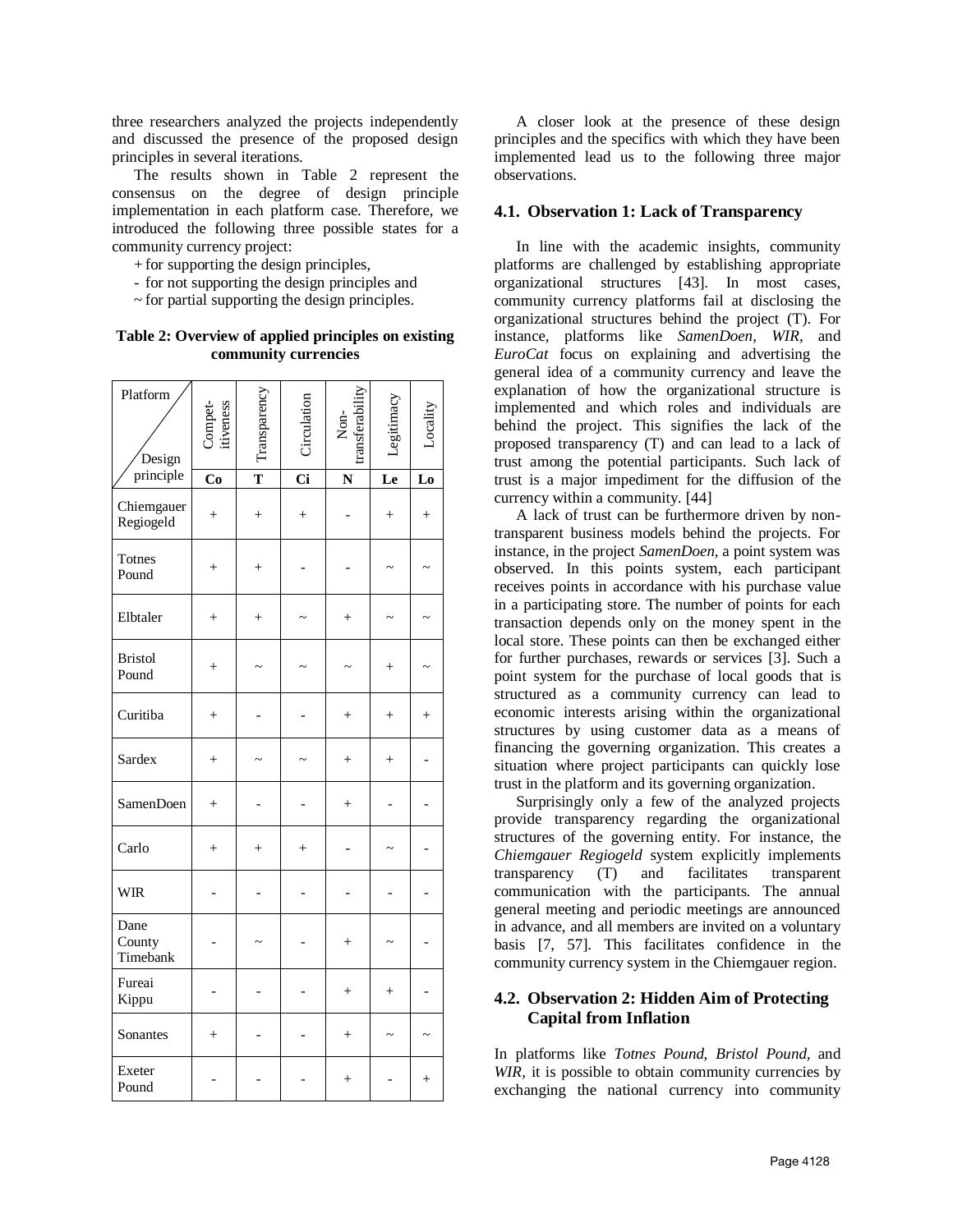three researchers analyzed the projects independently and discussed the presence of the proposed design principles in several iterations.

The results shown in Table 2 represent the consensus on the degree of design principle implementation in each platform case. Therefore, we introduced the following three possible states for a community currency project:

- + for supporting the design principles,
- for not supporting the design principles and
- $\sim$  for partial supporting the design principles.

#### **Table 2: Overview of applied principles on existing community currencies**

| Platform<br>Design         | Compet-<br>itiveness | Transparency            | Circulation            | ansterat<br>Non- |        |        |
|----------------------------|----------------------|-------------------------|------------------------|------------------|--------|--------|
| principle                  | Co                   | $\overline{\mathbf{T}}$ | $\overline{\text{Ci}}$ | N                | Le     | Lo     |
| Chiemgauer<br>Regiogeld    | $\ddot{}$            | $\ddot{}$               | $^{+}$                 |                  | $^{+}$ | $^{+}$ |
| Totnes<br>Pound            | $^{+}$               | $^{+}$                  |                        |                  |        |        |
| Elbtaler                   | $\ddot{}$            | $^{+}$                  |                        | $^{+}$           |        |        |
| <b>Bristol</b><br>Pound    | $^{+}$               |                         |                        |                  | $^{+}$ |        |
| Curitiba                   | $\ddot{}$            |                         |                        | $^{+}$           | $^{+}$ | $^{+}$ |
| Sardex                     | $^{+}$               |                         |                        | $^{+}$           | $^{+}$ |        |
| SamenDoen                  | $^{+}$               |                         |                        | $^{+}$           |        |        |
| Carlo                      | $\ddot{}$            | $\ddot{}$               | $^{+}$                 |                  |        |        |
| <b>WIR</b>                 |                      |                         |                        |                  |        |        |
| Dane<br>County<br>Timebank |                      |                         |                        | $^{+}$           |        |        |
| Fureai<br>Kippu            |                      |                         |                        | $^{+}$           | $^{+}$ |        |
| Sonantes                   | $\ddot{}$            |                         |                        | $\ddot{}$        |        |        |
| Exeter<br>Pound            |                      |                         |                        | $^{+}$           |        | $^{+}$ |

A closer look at the presence of these design principles and the specifics with which they have been implemented lead us to the following three major observations.

#### **4.1. Observation 1: Lack of Transparency**

In line with the academic insights, community platforms are challenged by establishing appropriate organizational structures [43]. In most cases, community currency platforms fail at disclosing the organizational structures behind the project (T). For instance, platforms like *SamenDoen*, *WIR,* and *EuroCat* focus on explaining and advertising the general idea of a community currency and leave the explanation of how the organizational structure is implemented and which roles and individuals are behind the project. This signifies the lack of the proposed transparency (T) and can lead to a lack of trust among the potential participants. Such lack of trust is a major impediment for the diffusion of the currency within a community. [44]

A lack of trust can be furthermore driven by nontransparent business models behind the projects. For instance, in the project *SamenDoen,* a point system was observed. In this points system, each participant receives points in accordance with his purchase value in a participating store. The number of points for each transaction depends only on the money spent in the local store. These points can then be exchanged either for further purchases, rewards or services [3]. Such a point system for the purchase of local goods that is structured as a community currency can lead to economic interests arising within the organizational structures by using customer data as a means of financing the governing organization. This creates a situation where project participants can quickly lose trust in the platform and its governing organization.

Surprisingly only a few of the analyzed projects provide transparency regarding the organizational structures of the governing entity. For instance, the *Chiemgauer Regiogeld* system explicitly implements transparency (T) and facilitates transparent communication with the participants. The annual general meeting and periodic meetings are announced in advance, and all members are invited on a voluntary basis [7, 57]. This facilitates confidence in the community currency system in the Chiemgauer region.

### **4.2. Observation 2: Hidden Aim of Protecting Capital from Inflation**

In platforms like *Totnes Pound*, *Bristol Pound,* and *WIR*, it is possible to obtain community currencies by exchanging the national currency into community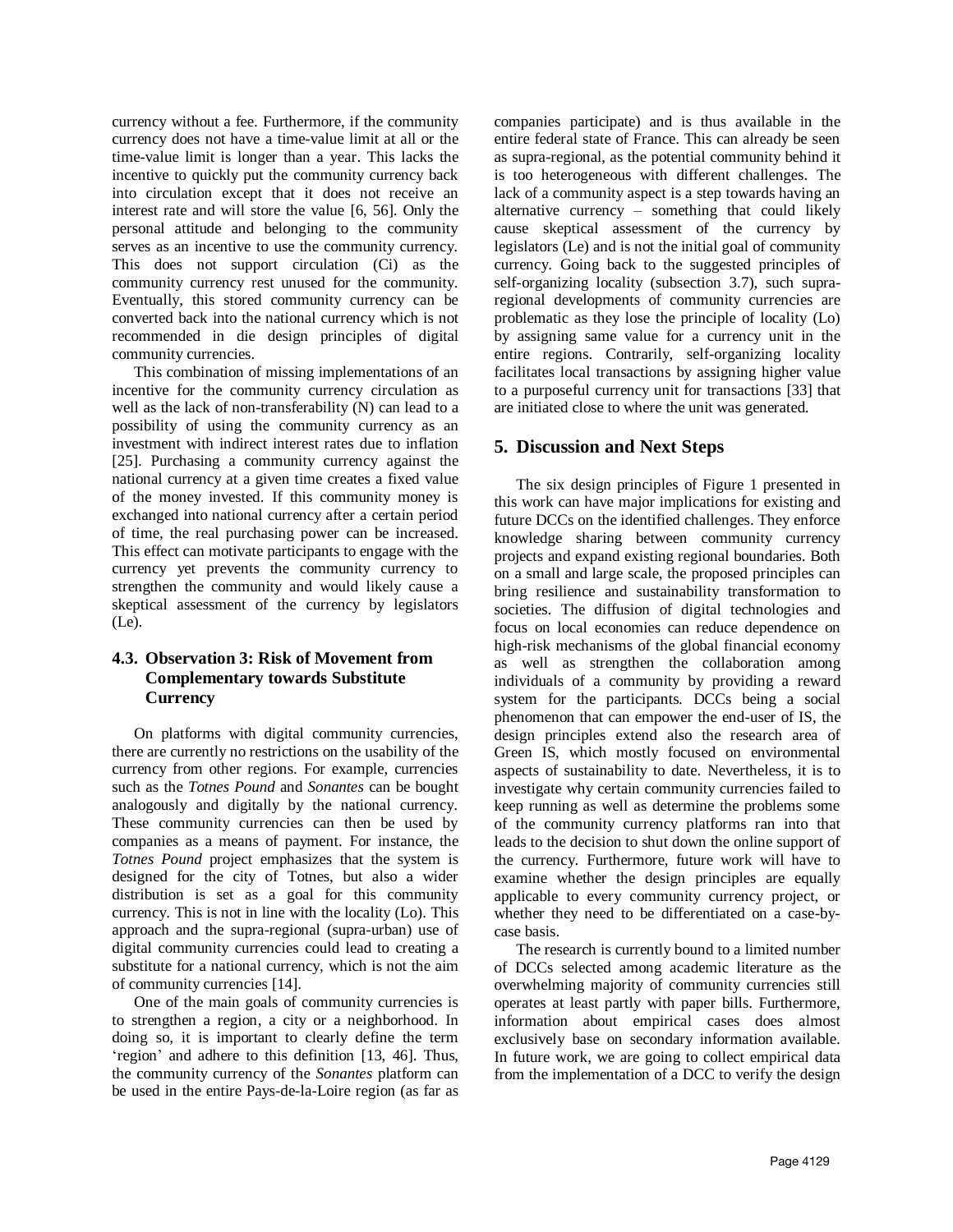currency without a fee. Furthermore, if the community currency does not have a time-value limit at all or the time-value limit is longer than a year. This lacks the incentive to quickly put the community currency back into circulation except that it does not receive an interest rate and will store the value [6, 56]. Only the personal attitude and belonging to the community serves as an incentive to use the community currency. This does not support circulation (Ci) as the community currency rest unused for the community. Eventually, this stored community currency can be converted back into the national currency which is not recommended in die design principles of digital community currencies.

This combination of missing implementations of an incentive for the community currency circulation as well as the lack of non-transferability (N) can lead to a possibility of using the community currency as an investment with indirect interest rates due to inflation [25]. Purchasing a community currency against the national currency at a given time creates a fixed value of the money invested. If this community money is exchanged into national currency after a certain period of time, the real purchasing power can be increased. This effect can motivate participants to engage with the currency yet prevents the community currency to strengthen the community and would likely cause a skeptical assessment of the currency by legislators (Le).

# **4.3. Observation 3: Risk of Movement from Complementary towards Substitute Currency**

On platforms with digital community currencies, there are currently no restrictions on the usability of the currency from other regions. For example, currencies such as the *Totnes Pound* and *Sonantes* can be bought analogously and digitally by the national currency. These community currencies can then be used by companies as a means of payment. For instance, the *Totnes Pound* project emphasizes that the system is designed for the city of Totnes, but also a wider distribution is set as a goal for this community currency. This is not in line with the locality (Lo). This approach and the supra-regional (supra-urban) use of digital community currencies could lead to creating a substitute for a national currency, which is not the aim of community currencies [14].

One of the main goals of community currencies is to strengthen a region, a city or a neighborhood. In doing so, it is important to clearly define the term 'region' and adhere to this definition [13, 46]. Thus, the community currency of the *Sonantes* platform can be used in the entire Pays-de-la-Loire region (as far as

companies participate) and is thus available in the entire federal state of France. This can already be seen as supra-regional, as the potential community behind it is too heterogeneous with different challenges. The lack of a community aspect is a step towards having an alternative currency – something that could likely cause skeptical assessment of the currency by legislators (Le) and is not the initial goal of community currency. Going back to the suggested principles of self-organizing locality (subsection 3.7), such supraregional developments of community currencies are problematic as they lose the principle of locality (Lo) by assigning same value for a currency unit in the entire regions. Contrarily, self-organizing locality facilitates local transactions by assigning higher value to a purposeful currency unit for transactions [33] that are initiated close to where the unit was generated.

### **5. Discussion and Next Steps**

The six design principles of Figure 1 presented in this work can have major implications for existing and future DCCs on the identified challenges. They enforce knowledge sharing between community currency projects and expand existing regional boundaries. Both on a small and large scale, the proposed principles can bring resilience and sustainability transformation to societies. The diffusion of digital technologies and focus on local economies can reduce dependence on high-risk mechanisms of the global financial economy as well as strengthen the collaboration among individuals of a community by providing a reward system for the participants. DCCs being a social phenomenon that can empower the end-user of IS, the design principles extend also the research area of Green IS, which mostly focused on environmental aspects of sustainability to date. Nevertheless, it is to investigate why certain community currencies failed to keep running as well as determine the problems some of the community currency platforms ran into that leads to the decision to shut down the online support of the currency. Furthermore, future work will have to examine whether the design principles are equally applicable to every community currency project, or whether they need to be differentiated on a case-bycase basis.

The research is currently bound to a limited number of DCCs selected among academic literature as the overwhelming majority of community currencies still operates at least partly with paper bills. Furthermore, information about empirical cases does almost exclusively base on secondary information available. In future work, we are going to collect empirical data from the implementation of a DCC to verify the design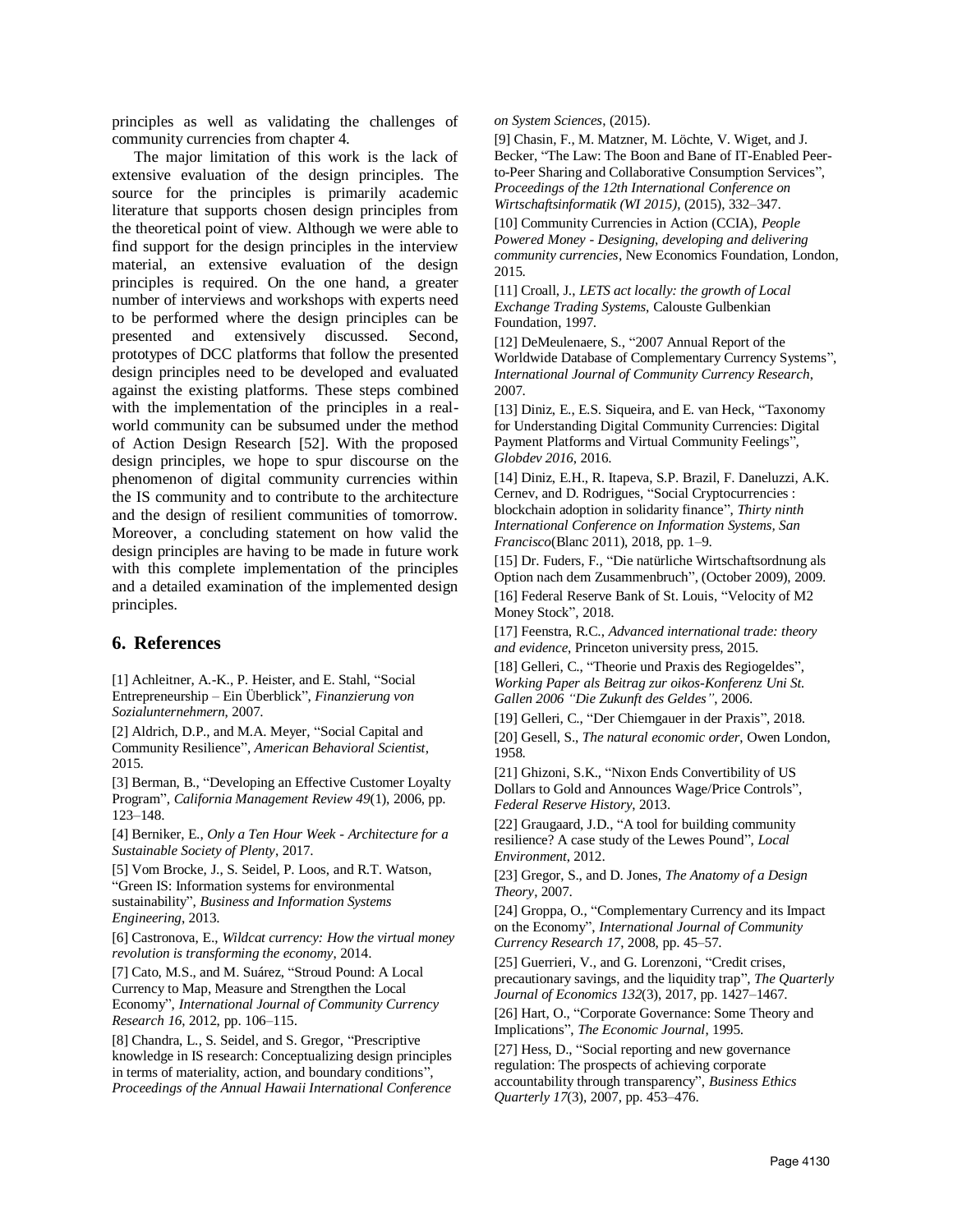principles as well as validating the challenges of community currencies from chapter 4.

The major limitation of this work is the lack of extensive evaluation of the design principles. The source for the principles is primarily academic literature that supports chosen design principles from the theoretical point of view. Although we were able to find support for the design principles in the interview material, an extensive evaluation of the design principles is required. On the one hand, a greater number of interviews and workshops with experts need to be performed where the design principles can be presented and extensively discussed. Second, prototypes of DCC platforms that follow the presented design principles need to be developed and evaluated against the existing platforms. These steps combined with the implementation of the principles in a realworld community can be subsumed under the method of Action Design Research [52]. With the proposed design principles, we hope to spur discourse on the phenomenon of digital community currencies within the IS community and to contribute to the architecture and the design of resilient communities of tomorrow. Moreover, a concluding statement on how valid the design principles are having to be made in future work with this complete implementation of the principles and a detailed examination of the implemented design principles.

#### **6. References**

[1] Achleitner, A.-K., P. Heister, and E. Stahl, "Social Entrepreneurship – Ein Überblick", *Finanzierung von Sozialunternehmern*, 2007.

[2] Aldrich, D.P., and M.A. Meyer, "Social Capital and Community Resilience", *American Behavioral Scientist*, 2015.

[3] Berman, B., "Developing an Effective Customer Loyalty Program", *California Management Review 49*(1), 2006, pp. 123–148.

[4] Berniker, E., *Only a Ten Hour Week - Architecture for a Sustainable Society of Plenty*, 2017.

[5] Vom Brocke, J., S. Seidel, P. Loos, and R.T. Watson, "Green IS: Information systems for environmental sustainability", *Business and Information Systems Engineering*, 2013.

[6] Castronova, E., *Wildcat currency: How the virtual money revolution is transforming the economy*, 2014.

[7] Cato, M.S., and M. Suárez, "Stroud Pound: A Local Currency to Map, Measure and Strengthen the Local Economy", *International Journal of Community Currency Research 16*, 2012, pp. 106–115.

[8] Chandra, L., S. Seidel, and S. Gregor, "Prescriptive knowledge in IS research: Conceptualizing design principles in terms of materiality, action, and boundary conditions", *Proceedings of the Annual Hawaii International Conference*  *on System Sciences*, (2015).

[9] Chasin, F., M. Matzner, M. Löchte, V. Wiget, and J. Becker, "The Law: The Boon and Bane of IT-Enabled Peerto-Peer Sharing and Collaborative Consumption Services", *Proceedings of the 12th International Conference on Wirtschaftsinformatik (WI 2015)*, (2015), 332–347.

[10] Community Currencies in Action (CCIA), *People Powered Money - Designing, developing and delivering community currencies*, New Economics Foundation, London, 2015.

[11] Croall, J., *LETS act locally: the growth of Local Exchange Trading Systems*, Calouste Gulbenkian Foundation, 1997.

[12] DeMeulenaere, S., "2007 Annual Report of the Worldwide Database of Complementary Currency Systems", *International Journal of Community Currency Research*, 2007.

[13] Diniz, E., E.S. Siqueira, and E. van Heck, "Taxonomy for Understanding Digital Community Currencies: Digital Payment Platforms and Virtual Community Feelings", *Globdev 2016*, 2016.

[14] Diniz, E.H., R. Itapeva, S.P. Brazil, F. Daneluzzi, A.K. Cernev, and D. Rodrigues, "Social Cryptocurrencies : blockchain adoption in solidarity finance", *Thirty ninth International Conference on Information Systems, San Francisco*(Blanc 2011), 2018, pp. 1–9.

[15] Dr. Fuders, F., "Die natürliche Wirtschaftsordnung als Option nach dem Zusammenbruch", (October 2009), 2009. [16] Federal Reserve Bank of St. Louis, "Velocity of M2 Money Stock", 2018.

[17] Feenstra, R.C., *Advanced international trade: theory and evidence*, Princeton university press, 2015.

[18] Gelleri, C., "Theorie und Praxis des Regiogeldes", *Working Paper als Beitrag zur oikos-Konferenz Uni St. Gallen 2006 "Die Zukunft des Geldes"*, 2006.

[19] Gelleri, C., "Der Chiemgauer in der Praxis", 2018.

[20] Gesell, S., *The natural economic order*, Owen London, 1958.

[21] Ghizoni, S.K., "Nixon Ends Convertibility of US Dollars to Gold and Announces Wage/Price Controls", *Federal Reserve History*, 2013.

[22] Graugaard, J.D., "A tool for building community resilience? A case study of the Lewes Pound", *Local Environment*, 2012.

[23] Gregor, S., and D. Jones, *The Anatomy of a Design Theory*, 2007.

[24] Groppa, O., "Complementary Currency and its Impact on the Economy", *International Journal of Community Currency Research 17*, 2008, pp. 45–57.

[25] Guerrieri, V., and G. Lorenzoni, "Credit crises, precautionary savings, and the liquidity trap", *The Quarterly Journal of Economics 132*(3), 2017, pp. 1427–1467.

[26] Hart, O., "Corporate Governance: Some Theory and Implications", *The Economic Journal*, 1995.

[27] Hess, D., "Social reporting and new governance regulation: The prospects of achieving corporate accountability through transparency", *Business Ethics Quarterly 17*(3), 2007, pp. 453–476.